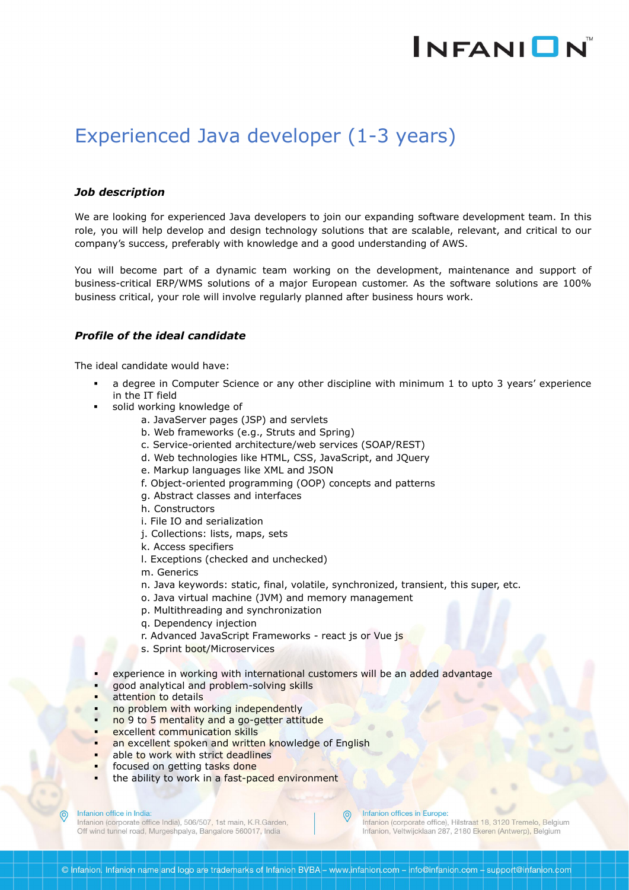# **INFANION**

# Experienced Java developer (1-3 years)

### *Job description*

We are looking for experienced Java developers to join our expanding software development team. In this role, you will help develop and design technology solutions that are scalable, relevant, and critical to our company's success, preferably with knowledge and a good understanding of AWS.

You will become part of a dynamic team working on the development, maintenance and support of business-critical ERP/WMS solutions of a major European customer. As the software solutions are 100% business critical, your role will involve regularly planned after business hours work.

# *Profile of the ideal candidate*

The ideal candidate would have:

- a degree in Computer Science or any other discipline with minimum 1 to upto 3 years' experience in the IT field
- solid working knowledge of
	- a. JavaServer pages (JSP) and servlets
	- b. Web frameworks (e.g., Struts and Spring)
	- c. Service-oriented architecture/web services (SOAP/REST)
	- d. Web technologies like HTML, CSS, JavaScript, and JQuery
	- e. Markup languages like XML and JSON
	- f. Object-oriented programming (OOP) concepts and patterns
	- g. Abstract classes and interfaces
	- h. Constructors
	- i. File IO and serialization
	- j. Collections: lists, maps, sets
	- k. Access specifiers
	- l. Exceptions (checked and unchecked)
	- m. Generics
	- n. Java keywords: static, final, volatile, synchronized, transient, this super, etc.
	- o. Java virtual machine (JVM) and memory management
	- p. Multithreading and synchronization
	- q. Dependency injection
	- r. Advanced JavaScript Frameworks react js or Vue js
	- s. Sprint boot/Microservices
- experience in working with international customers will be an added advantage
- good analytical and problem-solving skills
- attention to details
- no problem with working independently
- no 9 to 5 mentality and a go-getter attitude
- excellent communication skills
- an excellent spoken and written knowledge of English
- able to work with strict deadlines
- focused on getting tasks done
- the ability to work in a fast-paced environment

#### Infanion office in India:

Infanion (corporate office India), 506/507, 1st main, K.R.Garden, Off wind tunnel road, Murgeshpalya, Bangalore 560017, India

#### Infanion offices in Europe:

Infanion (corporate office), Hilstraat 18, 3120 Tremelo, Belgium Infanion, Veltwijcklaan 287, 2180 Ekeren (Antwerp), Belgium